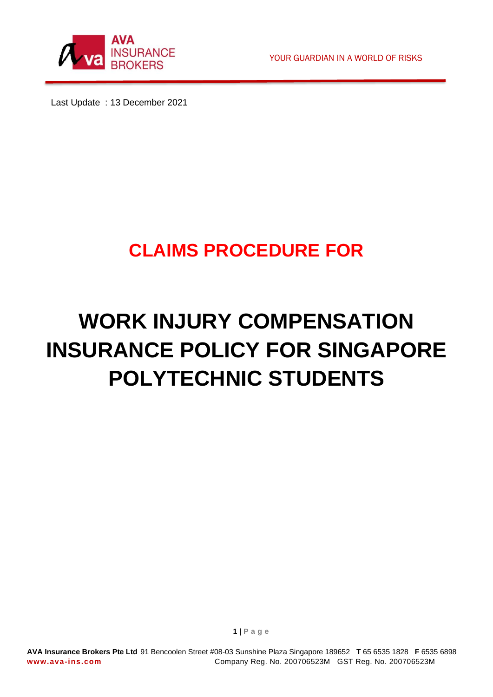

YOUR GUARDIAN IN A WORLD OF RISKS

Last Update : 13 December 2021

# **CLAIMS PROCEDURE FOR**

# **WORK INJURY COMPENSATION INSURANCE POLICY FOR SINGAPORE POLYTECHNIC STUDENTS**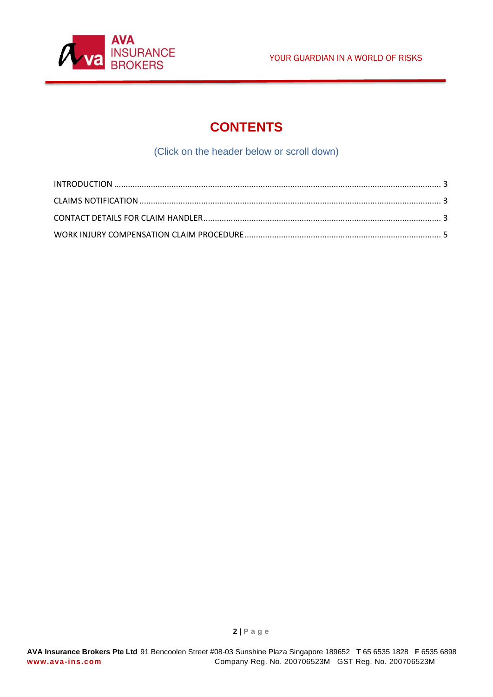



# **CONTENTS**

(Click on the header below or scroll down)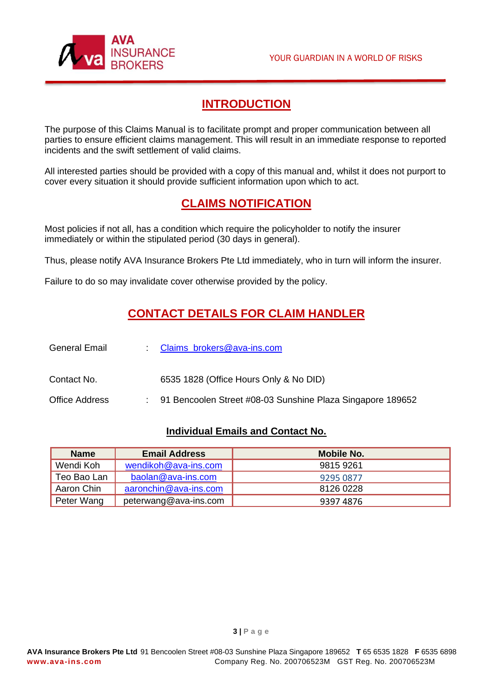

## **INTRODUCTION**

<span id="page-2-0"></span>The purpose of this Claims Manual is to facilitate prompt and proper communication between all parties to ensure efficient claims management. This will result in an immediate response to reported incidents and the swift settlement of valid claims.

<span id="page-2-1"></span>All interested parties should be provided with a copy of this manual and, whilst it does not purport to cover every situation it should provide sufficient information upon which to act.

### **CLAIMS NOTIFICATION**

Most policies if not all, has a condition which require the policyholder to notify the insurer immediately or within the stipulated period (30 days in general).

Thus, please notify AVA Insurance Brokers Pte Ltd immediately, who in turn will inform the insurer.

<span id="page-2-2"></span>Failure to do so may invalidate cover otherwise provided by the policy.

#### **CONTACT DETAILS FOR CLAIM HANDLER**

| <b>General Email</b>  | Claims_brokers@ava-ins.com                                   |
|-----------------------|--------------------------------------------------------------|
| Contact No.           | 6535 1828 (Office Hours Only & No DID)                       |
| <b>Office Address</b> | : 91 Bencoolen Street #08-03 Sunshine Plaza Singapore 189652 |

#### **Individual Emails and Contact No.**

| <b>Name</b> | <b>Email Address</b>  | Mobile No. |
|-------------|-----------------------|------------|
| Wendi Koh   | wendikoh@ava-ins.com  | 9815 9261  |
| Teo Bao Lan | baolan@ava-ins.com    | 9295 0877  |
| Aaron Chin  | aaronchin@ava-ins.com | 8126 0228  |
| Peter Wang  | peterwang@ava-ins.com | 9397 4876  |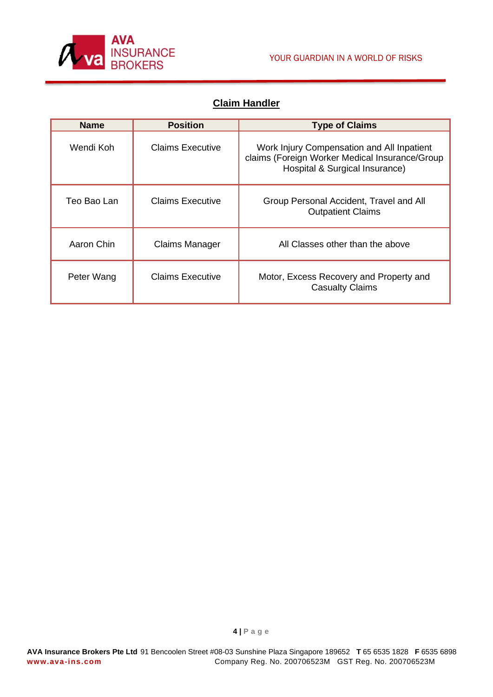

#### **Claim Handler**

| <b>Name</b> | <b>Position</b>         | <b>Type of Claims</b>                                                                                                          |
|-------------|-------------------------|--------------------------------------------------------------------------------------------------------------------------------|
| Wendi Koh.  | Claims Executive        | Work Injury Compensation and All Inpatient<br>claims (Foreign Worker Medical Insurance/Group<br>Hospital & Surgical Insurance) |
| Teo Bao Lan | Claims Executive        | Group Personal Accident, Travel and All<br><b>Outpatient Claims</b>                                                            |
| Aaron Chin  | Claims Manager          | All Classes other than the above                                                                                               |
| Peter Wang  | <b>Claims Executive</b> | Motor, Excess Recovery and Property and<br><b>Casualty Claims</b>                                                              |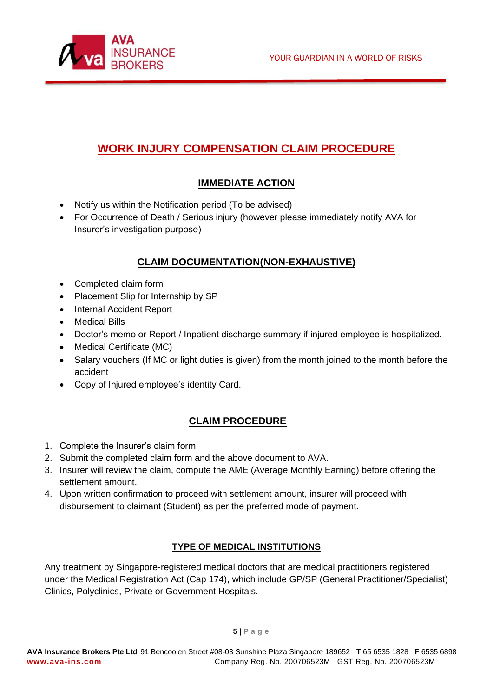

# <span id="page-4-0"></span>**WORK INJURY COMPENSATION CLAIM PROCEDURE**

#### **IMMEDIATE ACTION**

- Notify us within the Notification period (To be advised)
- For Occurrence of Death / Serious injury (however please immediately notify AVA for Insurer's investigation purpose)

#### **CLAIM DOCUMENTATION(NON-EXHAUSTIVE)**

- Completed claim form
- Placement Slip for Internship by SP
- Internal Accident Report
- Medical Bills
- Doctor's memo or Report / Inpatient discharge summary if injured employee is hospitalized.
- Medical Certificate (MC)
- Salary vouchers (If MC or light duties is given) from the month joined to the month before the accident
- Copy of Injured employee's identity Card.

#### **CLAIM PROCEDURE**

- 1. Complete the Insurer's claim form
- 2. Submit the completed claim form and the above document to AVA.
- 3. Insurer will review the claim, compute the AME (Average Monthly Earning) before offering the settlement amount.
- 4. Upon written confirmation to proceed with settlement amount, insurer will proceed with disbursement to claimant (Student) as per the preferred mode of payment.

#### **TYPE OF MEDICAL INSTITUTIONS**

Any treatment by Singapore-registered medical doctors that are medical practitioners registered under the Medical Registration Act (Cap 174), which include GP/SP (General Practitioner/Specialist) Clinics, Polyclinics, Private or Government Hospitals.